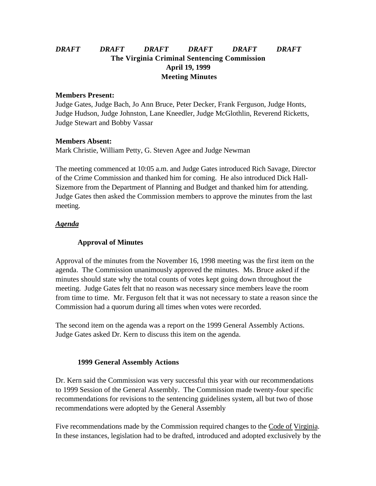# *DRAFT DRAFT DRAFT DRAFT DRAFT DRAFT* **The Virginia Criminal Sentencing Commission April 19, 1999 Meeting Minutes**

#### **Members Present:**

Judge Gates, Judge Bach, Jo Ann Bruce, Peter Decker, Frank Ferguson, Judge Honts, Judge Hudson, Judge Johnston, Lane Kneedler, Judge McGlothlin, Reverend Ricketts, Judge Stewart and Bobby Vassar

### **Members Absent:**

Mark Christie, William Petty, G. Steven Agee and Judge Newman

The meeting commenced at 10:05 a.m. and Judge Gates introduced Rich Savage, Director of the Crime Commission and thanked him for coming. He also introduced Dick Hall-Sizemore from the Department of Planning and Budget and thanked him for attending. Judge Gates then asked the Commission members to approve the minutes from the last meeting.

## *Agenda*

## **Approval of Minutes**

Approval of the minutes from the November 16, 1998 meeting was the first item on the agenda. The Commission unanimously approved the minutes. Ms. Bruce asked if the minutes should state why the total counts of votes kept going down throughout the meeting. Judge Gates felt that no reason was necessary since members leave the room from time to time. Mr. Ferguson felt that it was not necessary to state a reason since the Commission had a quorum during all times when votes were recorded.

The second item on the agenda was a report on the 1999 General Assembly Actions. Judge Gates asked Dr. Kern to discuss this item on the agenda.

## **1999 General Assembly Actions**

Dr. Kern said the Commission was very successful this year with our recommendations to 1999 Session of the General Assembly. The Commission made twenty-four specific recommendations for revisions to the sentencing guidelines system, all but two of those recommendations were adopted by the General Assembly

Five recommendations made by the Commission required changes to the Code of Virginia. In these instances, legislation had to be drafted, introduced and adopted exclusively by the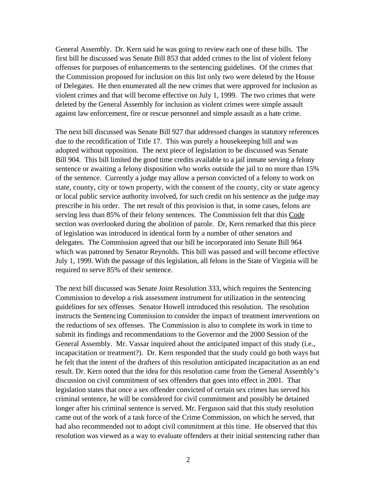General Assembly. Dr. Kern said he was going to review each one of these bills. The first bill he discussed was Senate Bill 853 that added crimes to the list of violent felony offenses for purposes of enhancements to the sentencing guidelines. Of the crimes that the Commission proposed for inclusion on this list only two were deleted by the House of Delegates. He then enumerated all the new crimes that were approved for inclusion as violent crimes and that will become effective on July 1, 1999. The two crimes that were deleted by the General Assembly for inclusion as violent crimes were simple assault against law enforcement, fire or rescue personnel and simple assault as a hate crime.

The next bill discussed was Senate Bill 927 that addressed changes in statutory references due to the recodification of Title 17. This was purely a housekeeping bill and was adopted without opposition. The next piece of legislation to be discussed was Senate Bill 904. This bill limited the good time credits available to a jail inmate serving a felony sentence or awaiting a felony disposition who works outside the jail to no more than 15% of the sentence. Currently a judge may allow a person convicted of a felony to work on state, county, city or town property, with the consent of the county, city or state agency or local public service authority involved, for such credit on his sentence as the judge may prescribe in his order. The net result of this provision is that, in some cases, felons are serving less than 85% of their felony sentences. The Commission felt that this Code section was overlooked during the abolition of parole. Dr, Kern remarked that this piece of legislation was introduced in identical form by a number of other senators and delegates. The Commission agreed that our bill be incorporated into Senate Bill 964 which was patroned by Senator Reynolds. This bill was passed and will become effective July 1, 1999. With the passage of this legislation, all felons in the State of Virginia will be required to serve 85% of their sentence.

The next bill discussed was Senate Joint Resolution 333, which requires the Sentencing Commission to develop a risk assessment instrument for utilization in the sentencing guidelines for sex offenses. Senator Howell introduced this resolution. The resolution instructs the Sentencing Commission to consider the impact of treatment interventions on the reductions of sex offenses. The Commission is also to complete its work in time to submit its findings and recommendations to the Governor and the 2000 Session of the General Assembly. Mr. Vassar inquired about the anticipated impact of this study (i.e., incapacitation or treatment?). Dr. Kern responded that the study could go both ways but he felt that the intent of the drafters of this resolution anticipated incapacitation as an end result. Dr. Kern noted that the idea for this resolution came from the General Assembly's discussion on civil commitment of sex offenders that goes into effect in 2001. That legislation states that once a sex offender convicted of certain sex crimes has served his criminal sentence, he will be considered for civil commitment and possibly be detained longer after his criminal sentence is served. Mr. Ferguson said that this study resolution came out of the work of a task force of the Crime Commission, on which he served, that had also recommended not to adopt civil commitment at this time. He observed that this resolution was viewed as a way to evaluate offenders at their initial sentencing rather than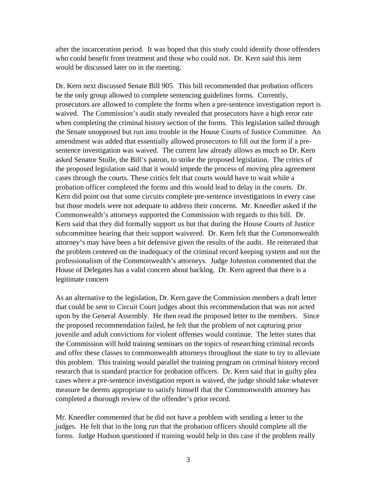after the incarceration period. It was hoped that this study could identify those offenders who could benefit from treatment and those who could not. Dr. Kern said this item would be discussed later on in the meeting.

Dr. Kern next discussed Senate Bill 905. This bill recommended that probation officers be the only group allowed to complete sentencing guidelines forms. Currently, prosecutors are allowed to complete the forms when a pre-sentence investigation report is waived. The Commission's audit study revealed that prosecutors have a high error rate when completing the criminal history section of the forms. This legislation sailed through the Senate unopposed but run into trouble in the House Courts of Justice Committee. An amendment was added that essentially allowed prosecutors to fill out the form if a presentence investigation was waived. The current law already allows as much so Dr. Kern asked Senator Stolle, the Bill's patron, to strike the proposed legislation. The critics of the proposed legislation said that it would impede the process of moving plea agreement cases through the courts. These critics felt that courts would have to wait while a probation officer completed the forms and this would lead to delay in the courts. Dr. Kern did point out that some circuits complete pre-sentence investigations in every case but those models were not adequate to address their concerns. Mr. Kneedler asked if the Commonwealth's attorneys supported the Commission with regards to this bill. Dr. Kern said that they did formally support us but that during the House Courts of Justice subcommittee hearing that their support waivered. Dr. Kern felt that the Commonwealth attorney's may have been a bit defensive given the results of the audit. He reiterated that the problem centered on the inadequacy of the criminal record keeping system and not the professionalism of the Commonwealth's attorneys. Judge Johnston commented that the House of Delegates has a valid concern about backlog. Dr. Kern agreed that there is a legitimate concern

As an alternative to the legislation, Dr. Kern gave the Commission members a draft letter that could be sent to Circuit Court judges about this recommendation that was not acted upon by the General Assembly. He then read the proposed letter to the members. Since the proposed recommendation failed, he felt that the problem of not capturing prior juvenile and adult convictions for violent offenses would continue. The letter states that the Commission will hold training seminars on the topics of researching criminal records and offer these classes to commonwealth attorneys throughout the state to try to alleviate this problem. This training would parallel the training program on criminal history record research that is standard practice for probation officers. Dr. Kern said that in guilty plea cases where a pre-sentence investigation report is waived, the judge should take whatever measure he deems appropriate to satisfy himself that the Commonwealth attorney has completed a thorough review of the offender's prior record.

Mr. Kneedler commented that he did not have a problem with sending a letter to the judges. He felt that in the long run that the probation officers should complete all the forms. Judge Hudson questioned if training would help in this case if the problem really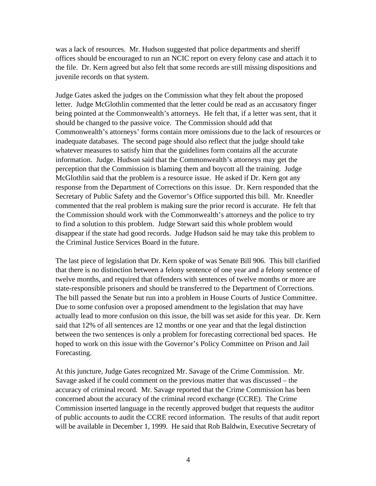was a lack of resources. Mr. Hudson suggested that police departments and sheriff offices should be encouraged to run an NCIC report on every felony case and attach it to the file. Dr. Kern agreed but also felt that some records are still missing dispositions and juvenile records on that system.

Judge Gates asked the judges on the Commission what they felt about the proposed letter. Judge McGlothlin commented that the letter could be read as an accusatory finger being pointed at the Commonwealth's attorneys. He felt that, if a letter was sent, that it should be changed to the passive voice. The Commission should add that Commonwealth's attorneys' forms contain more omissions due to the lack of resources or inadequate databases. The second page should also reflect that the judge should take whatever measures to satisfy him that the guidelines form contains all the accurate information. Judge. Hudson said that the Commonwealth's attorneys may get the perception that the Commission is blaming them and boycott all the training. Judge McGlothlin said that the problem is a resource issue. He asked if Dr. Kern got any response from the Department of Corrections on this issue. Dr. Kern responded that the Secretary of Public Safety and the Governor's Office supported this bill. Mr. Kneedler commented that the real problem is making sure the prior record is accurate. He felt that the Commission should work with the Commonwealth's attorneys and the police to try to find a solution to this problem. Judge Stewart said this whole problem would disappear if the state had good records. Judge Hudson said he may take this problem to the Criminal Justice Services Board in the future.

The last piece of legislation that Dr. Kern spoke of was Senate Bill 906. This bill clarified that there is no distinction between a felony sentence of one year and a felony sentence of twelve months, and required that offenders with sentences of twelve months or more are state-responsible prisoners and should be transferred to the Department of Corrections. The bill passed the Senate but run into a problem in House Courts of Justice Committee. Due to some confusion over a proposed amendment to the legislation that may have actually lead to more confusion on this issue, the bill was set aside for this year. Dr. Kern said that 12% of all sentences are 12 months or one year and that the legal distinction between the two sentences is only a problem for forecasting correctional bed spaces. He hoped to work on this issue with the Governor's Policy Committee on Prison and Jail Forecasting.

At this juncture, Judge Gates recognized Mr. Savage of the Crime Commission. Mr. Savage asked if he could comment on the previous matter that was discussed – the accuracy of criminal record. Mr. Savage reported that the Crime Commission has been concerned about the accuracy of the criminal record exchange (CCRE). The Crime Commission inserted language in the recently approved budget that requests the auditor of public accounts to audit the CCRE record information. The results of that audit report will be available in December 1, 1999. He said that Rob Baldwin, Executive Secretary of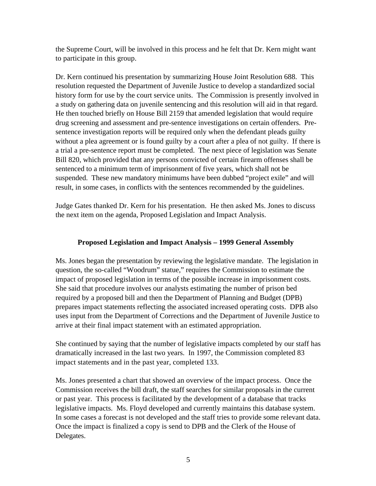the Supreme Court, will be involved in this process and he felt that Dr. Kern might want to participate in this group.

Dr. Kern continued his presentation by summarizing House Joint Resolution 688. This resolution requested the Department of Juvenile Justice to develop a standardized social history form for use by the court service units. The Commission is presently involved in a study on gathering data on juvenile sentencing and this resolution will aid in that regard. He then touched briefly on House Bill 2159 that amended legislation that would require drug screening and assessment and pre-sentence investigations on certain offenders. Presentence investigation reports will be required only when the defendant pleads guilty without a plea agreement or is found guilty by a court after a plea of not guilty. If there is a trial a pre-sentence report must be completed. The next piece of legislation was Senate Bill 820, which provided that any persons convicted of certain firearm offenses shall be sentenced to a minimum term of imprisonment of five years, which shall not be suspended. These new mandatory minimums have been dubbed "project exile" and will result, in some cases, in conflicts with the sentences recommended by the guidelines.

Judge Gates thanked Dr. Kern for his presentation. He then asked Ms. Jones to discuss the next item on the agenda, Proposed Legislation and Impact Analysis.

## **Proposed Legislation and Impact Analysis – 1999 General Assembly**

Ms. Jones began the presentation by reviewing the legislative mandate. The legislation in question, the so-called "Woodrum" statue," requires the Commission to estimate the impact of proposed legislation in terms of the possible increase in imprisonment costs. She said that procedure involves our analysts estimating the number of prison bed required by a proposed bill and then the Department of Planning and Budget (DPB) prepares impact statements reflecting the associated increased operating costs. DPB also uses input from the Department of Corrections and the Department of Juvenile Justice to arrive at their final impact statement with an estimated appropriation.

She continued by saying that the number of legislative impacts completed by our staff has dramatically increased in the last two years. In 1997, the Commission completed 83 impact statements and in the past year, completed 133.

Ms. Jones presented a chart that showed an overview of the impact process. Once the Commission receives the bill draft, the staff searches for similar proposals in the current or past year. This process is facilitated by the development of a database that tracks legislative impacts. Ms. Floyd developed and currently maintains this database system. In some cases a forecast is not developed and the staff tries to provide some relevant data. Once the impact is finalized a copy is send to DPB and the Clerk of the House of Delegates.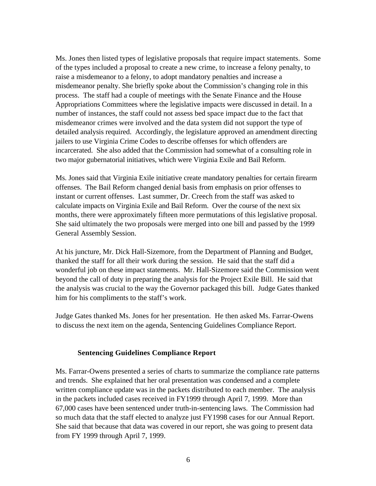Ms. Jones then listed types of legislative proposals that require impact statements. Some of the types included a proposal to create a new crime, to increase a felony penalty, to raise a misdemeanor to a felony, to adopt mandatory penalties and increase a misdemeanor penalty. She briefly spoke about the Commission's changing role in this process. The staff had a couple of meetings with the Senate Finance and the House Appropriations Committees where the legislative impacts were discussed in detail. In a number of instances, the staff could not assess bed space impact due to the fact that misdemeanor crimes were involved and the data system did not support the type of detailed analysis required. Accordingly, the legislature approved an amendment directing jailers to use Virginia Crime Codes to describe offenses for which offenders are incarcerated. She also added that the Commission had somewhat of a consulting role in two major gubernatorial initiatives, which were Virginia Exile and Bail Reform.

Ms. Jones said that Virginia Exile initiative create mandatory penalties for certain firearm offenses. The Bail Reform changed denial basis from emphasis on prior offenses to instant or current offenses. Last summer, Dr. Creech from the staff was asked to calculate impacts on Virginia Exile and Bail Reform. Over the course of the next six months, there were approximately fifteen more permutations of this legislative proposal. She said ultimately the two proposals were merged into one bill and passed by the 1999 General Assembly Session.

At his juncture, Mr. Dick Hall-Sizemore, from the Department of Planning and Budget, thanked the staff for all their work during the session. He said that the staff did a wonderful job on these impact statements. Mr. Hall-Sizemore said the Commission went beyond the call of duty in preparing the analysis for the Project Exile Bill. He said that the analysis was crucial to the way the Governor packaged this bill. Judge Gates thanked him for his compliments to the staff's work.

Judge Gates thanked Ms. Jones for her presentation. He then asked Ms. Farrar-Owens to discuss the next item on the agenda, Sentencing Guidelines Compliance Report.

#### **Sentencing Guidelines Compliance Report**

Ms. Farrar-Owens presented a series of charts to summarize the compliance rate patterns and trends. She explained that her oral presentation was condensed and a complete written compliance update was in the packets distributed to each member. The analysis in the packets included cases received in FY1999 through April 7, 1999. More than 67,000 cases have been sentenced under truth-in-sentencing laws. The Commission had so much data that the staff elected to analyze just FY1998 cases for our Annual Report. She said that because that data was covered in our report, she was going to present data from FY 1999 through April 7, 1999.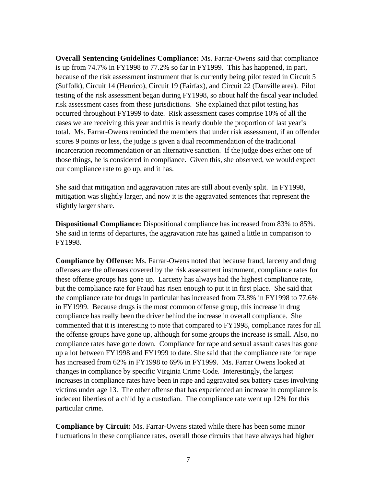**Overall Sentencing Guidelines Compliance:** Ms. Farrar-Owens said that compliance is up from 74.7% in FY1998 to 77.2% so far in FY1999. This has happened, in part, because of the risk assessment instrument that is currently being pilot tested in Circuit 5 (Suffolk), Circuit 14 (Henrico), Circuit 19 (Fairfax), and Circuit 22 (Danville area). Pilot testing of the risk assessment began during FY1998, so about half the fiscal year included risk assessment cases from these jurisdictions. She explained that pilot testing has occurred throughout FY1999 to date. Risk assessment cases comprise 10% of all the cases we are receiving this year and this is nearly double the proportion of last year's total. Ms. Farrar-Owens reminded the members that under risk assessment, if an offender scores 9 points or less, the judge is given a dual recommendation of the traditional incarceration recommendation or an alternative sanction. If the judge does either one of those things, he is considered in compliance. Given this, she observed, we would expect our compliance rate to go up, and it has.

She said that mitigation and aggravation rates are still about evenly split. In FY1998, mitigation was slightly larger, and now it is the aggravated sentences that represent the slightly larger share.

**Dispositional Compliance:** Dispositional compliance has increased from 83% to 85%. She said in terms of departures, the aggravation rate has gained a little in comparison to FY1998.

**Compliance by Offense:** Ms. Farrar-Owens noted that because fraud, larceny and drug offenses are the offenses covered by the risk assessment instrument, compliance rates for these offense groups has gone up. Larceny has always had the highest compliance rate, but the compliance rate for Fraud has risen enough to put it in first place. She said that the compliance rate for drugs in particular has increased from 73.8% in FY1998 to 77.6% in FY1999. Because drugs is the most common offense group, this increase in drug compliance has really been the driver behind the increase in overall compliance. She commented that it is interesting to note that compared to FY1998, compliance rates for all the offense groups have gone up, although for some groups the increase is small. Also, no compliance rates have gone down. Compliance for rape and sexual assault cases has gone up a lot between FY1998 and FY1999 to date. She said that the compliance rate for rape has increased from 62% in FY1998 to 69% in FY1999. Ms. Farrar Owens looked at changes in compliance by specific Virginia Crime Code. Interestingly, the largest increases in compliance rates have been in rape and aggravated sex battery cases involving victims under age 13. The other offense that has experienced an increase in compliance is indecent liberties of a child by a custodian. The compliance rate went up 12% for this particular crime.

**Compliance by Circuit:** Ms. Farrar-Owens stated while there has been some minor fluctuations in these compliance rates, overall those circuits that have always had higher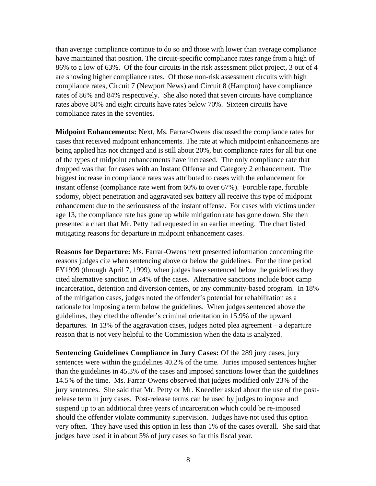than average compliance continue to do so and those with lower than average compliance have maintained that position. The circuit-specific compliance rates range from a high of 86% to a low of 63%. Of the four circuits in the risk assessment pilot project, 3 out of 4 are showing higher compliance rates. Of those non-risk assessment circuits with high compliance rates, Circuit 7 (Newport News) and Circuit 8 (Hampton) have compliance rates of 86% and 84% respectively. She also noted that seven circuits have compliance rates above 80% and eight circuits have rates below 70%. Sixteen circuits have compliance rates in the seventies.

**Midpoint Enhancements:** Next, Ms. Farrar-Owens discussed the compliance rates for cases that received midpoint enhancements. The rate at which midpoint enhancements are being applied has not changed and is still about 20%, but compliance rates for all but one of the types of midpoint enhancements have increased. The only compliance rate that dropped was that for cases with an Instant Offense and Category 2 enhancement. The biggest increase in compliance rates was attributed to cases with the enhancement for instant offense (compliance rate went from 60% to over 67%). Forcible rape, forcible sodomy, object penetration and aggravated sex battery all receive this type of midpoint enhancement due to the seriousness of the instant offense. For cases with victims under age 13, the compliance rate has gone up while mitigation rate has gone down. She then presented a chart that Mr. Petty had requested in an earlier meeting. The chart listed mitigating reasons for departure in midpoint enhancement cases.

**Reasons for Departure:** Ms. Farrar-Owens next presented information concerning the reasons judges cite when sentencing above or below the guidelines. For the time period FY1999 (through April 7, 1999), when judges have sentenced below the guidelines they cited alternative sanction in 24% of the cases. Alternative sanctions include boot camp incarceration, detention and diversion centers, or any community-based program. In 18% of the mitigation cases, judges noted the offender's potential for rehabilitation as a rationale for imposing a term below the guidelines. When judges sentenced above the guidelines, they cited the offender's criminal orientation in 15.9% of the upward departures. In 13% of the aggravation cases, judges noted plea agreement – a departure reason that is not very helpful to the Commission when the data is analyzed.

**Sentencing Guidelines Compliance in Jury Cases:** Of the 289 jury cases, jury sentences were within the guidelines 40.2% of the time. Juries imposed sentences higher than the guidelines in 45.3% of the cases and imposed sanctions lower than the guidelines 14.5% of the time. Ms. Farrar-Owens observed that judges modified only 23% of the jury sentences. She said that Mr. Petty or Mr. Kneedler asked about the use of the postrelease term in jury cases. Post-release terms can be used by judges to impose and suspend up to an additional three years of incarceration which could be re-imposed should the offender violate community supervision. Judges have not used this option very often. They have used this option in less than 1% of the cases overall. She said that judges have used it in about 5% of jury cases so far this fiscal year.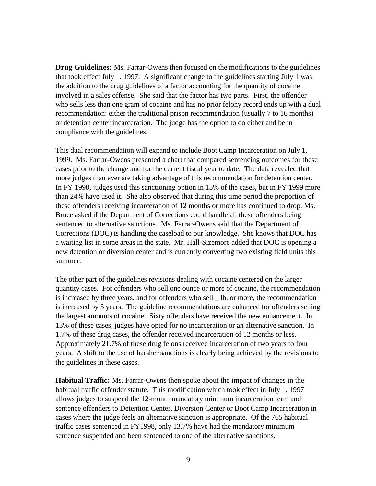**Drug Guidelines:** Ms. Farrar-Owens then focused on the modifications to the guidelines that took effect July 1, 1997. A significant change to the guidelines starting July 1 was the addition to the drug guidelines of a factor accounting for the quantity of cocaine involved in a sales offense. She said that the factor has two parts. First, the offender who sells less than one gram of cocaine and has no prior felony record ends up with a dual recommendation: either the traditional prison recommendation (usually 7 to 16 months) or detention center incarceration. The judge has the option to do either and be in compliance with the guidelines.

This dual recommendation will expand to include Boot Camp Incarceration on July 1, 1999. Ms. Farrar-Owens presented a chart that compared sentencing outcomes for these cases prior to the change and for the current fiscal year to date. The data revealed that more judges than ever are taking advantage of this recommendation for detention center. In FY 1998, judges used this sanctioning option in 15% of the cases, but in FY 1999 more than 24% have used it. She also observed that during this time period the proportion of these offenders receiving incarceration of 12 months or more has continued to drop. Ms. Bruce asked if the Department of Corrections could handle all these offenders being sentenced to alternative sanctions. Ms. Farrar-Owens said that the Department of Corrections (DOC) is handling the caseload to our knowledge. She knows that DOC has a waiting list in some areas in the state. Mr. Hall-Sizemore added that DOC is opening a new detention or diversion center and is currently converting two existing field units this summer.

The other part of the guidelines revisions dealing with cocaine centered on the larger quantity cases. For offenders who sell one ounce or more of cocaine, the recommendation is increased by three years, and for offenders who sell lb. or more, the recommendation is increased by 5 years. The guideline recommendations are enhanced for offenders selling the largest amounts of cocaine. Sixty offenders have received the new enhancement. In 13% of these cases, judges have opted for no incarceration or an alternative sanction. In 1.7% of these drug cases, the offender received incarceration of 12 months or less. Approximately 21.7% of these drug felons received incarceration of two years to four years. A shift to the use of harsher sanctions is clearly being achieved by the revisions to the guidelines in these cases.

**Habitual Traffic:** Ms. Farrar-Owens then spoke about the impact of changes in the habitual traffic offender statute. This modification which took effect in July 1, 1997 allows judges to suspend the 12-month mandatory minimum incarceration term and sentence offenders to Detention Center, Diversion Center or Boot Camp Incarceration in cases where the judge feels an alternative sanction is appropriate. Of the 765 habitual traffic cases sentenced in FY1998, only 13.7% have had the mandatory minimum sentence suspended and been sentenced to one of the alternative sanctions.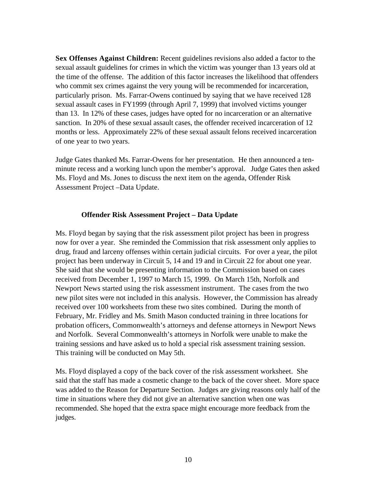**Sex Offenses Against Children:** Recent guidelines revisions also added a factor to the sexual assault guidelines for crimes in which the victim was younger than 13 years old at the time of the offense. The addition of this factor increases the likelihood that offenders who commit sex crimes against the very young will be recommended for incarceration, particularly prison. Ms. Farrar-Owens continued by saying that we have received 128 sexual assault cases in FY1999 (through April 7, 1999) that involved victims younger than 13. In 12% of these cases, judges have opted for no incarceration or an alternative sanction. In 20% of these sexual assault cases, the offender received incarceration of 12 months or less. Approximately 22% of these sexual assault felons received incarceration of one year to two years.

Judge Gates thanked Ms. Farrar-Owens for her presentation. He then announced a tenminute recess and a working lunch upon the member's approval. Judge Gates then asked Ms. Floyd and Ms. Jones to discuss the next item on the agenda, Offender Risk Assessment Project –Data Update.

#### **Offender Risk Assessment Project – Data Update**

Ms. Floyd began by saying that the risk assessment pilot project has been in progress now for over a year. She reminded the Commission that risk assessment only applies to drug, fraud and larceny offenses within certain judicial circuits. For over a year, the pilot project has been underway in Circuit 5, 14 and 19 and in Circuit 22 for about one year. She said that she would be presenting information to the Commission based on cases received from December 1, 1997 to March 15, 1999. On March 15th, Norfolk and Newport News started using the risk assessment instrument. The cases from the two new pilot sites were not included in this analysis. However, the Commission has already received over 100 worksheets from these two sites combined. During the month of February, Mr. Fridley and Ms. Smith Mason conducted training in three locations for probation officers, Commonwealth's attorneys and defense attorneys in Newport News and Norfolk. Several Commonwealth's attorneys in Norfolk were unable to make the training sessions and have asked us to hold a special risk assessment training session. This training will be conducted on May 5th.

Ms. Floyd displayed a copy of the back cover of the risk assessment worksheet. She said that the staff has made a cosmetic change to the back of the cover sheet. More space was added to the Reason for Departure Section. Judges are giving reasons only half of the time in situations where they did not give an alternative sanction when one was recommended. She hoped that the extra space might encourage more feedback from the judges.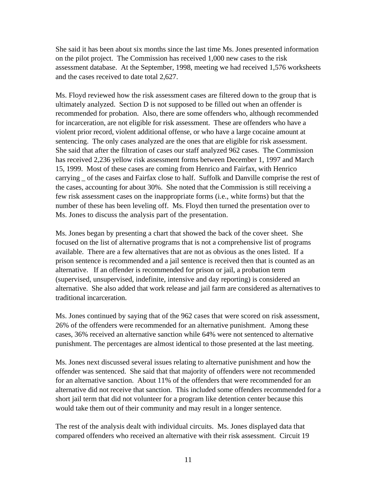She said it has been about six months since the last time Ms. Jones presented information on the pilot project. The Commission has received 1,000 new cases to the risk assessment database. At the September, 1998, meeting we had received 1,576 worksheets and the cases received to date total 2,627.

Ms. Floyd reviewed how the risk assessment cases are filtered down to the group that is ultimately analyzed. Section D is not supposed to be filled out when an offender is recommended for probation. Also, there are some offenders who, although recommended for incarceration, are not eligible for risk assessment. These are offenders who have a violent prior record, violent additional offense, or who have a large cocaine amount at sentencing. The only cases analyzed are the ones that are eligible for risk assessment. She said that after the filtration of cases our staff analyzed 962 cases. The Commission has received 2,236 yellow risk assessment forms between December 1, 1997 and March 15, 1999. Most of these cases are coming from Henrico and Fairfax, with Henrico carrying \_ of the cases and Fairfax close to half. Suffolk and Danville comprise the rest of the cases, accounting for about 30%. She noted that the Commission is still receiving a few risk assessment cases on the inappropriate forms (i.e., white forms) but that the number of these has been leveling off. Ms. Floyd then turned the presentation over to Ms. Jones to discuss the analysis part of the presentation.

Ms. Jones began by presenting a chart that showed the back of the cover sheet. She focused on the list of alternative programs that is not a comprehensive list of programs available. There are a few alternatives that are not as obvious as the ones listed. If a prison sentence is recommended and a jail sentence is received then that is counted as an alternative. If an offender is recommended for prison or jail, a probation term (supervised, unsupervised, indefinite, intensive and day reporting) is considered an alternative. She also added that work release and jail farm are considered as alternatives to traditional incarceration.

Ms. Jones continued by saying that of the 962 cases that were scored on risk assessment, 26% of the offenders were recommended for an alternative punishment. Among these cases, 36% received an alternative sanction while 64% were not sentenced to alternative punishment. The percentages are almost identical to those presented at the last meeting.

Ms. Jones next discussed several issues relating to alternative punishment and how the offender was sentenced. She said that that majority of offenders were not recommended for an alternative sanction. About 11% of the offenders that were recommended for an alternative did not receive that sanction. This included some offenders recommended for a short jail term that did not volunteer for a program like detention center because this would take them out of their community and may result in a longer sentence.

The rest of the analysis dealt with individual circuits. Ms. Jones displayed data that compared offenders who received an alternative with their risk assessment. Circuit 19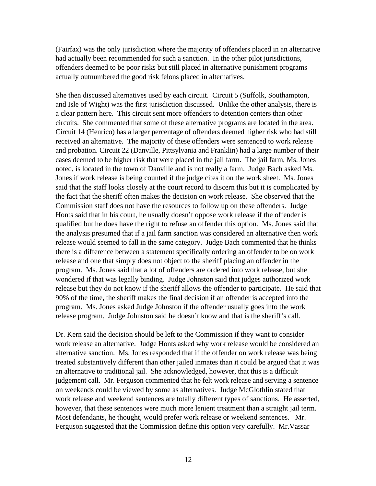(Fairfax) was the only jurisdiction where the majority of offenders placed in an alternative had actually been recommended for such a sanction. In the other pilot jurisdictions, offenders deemed to be poor risks but still placed in alternative punishment programs actually outnumbered the good risk felons placed in alternatives.

She then discussed alternatives used by each circuit. Circuit 5 (Suffolk, Southampton, and Isle of Wight) was the first jurisdiction discussed. Unlike the other analysis, there is a clear pattern here. This circuit sent more offenders to detention centers than other circuits. She commented that some of these alternative programs are located in the area. Circuit 14 (Henrico) has a larger percentage of offenders deemed higher risk who had still received an alternative. The majority of these offenders were sentenced to work release and probation. Circuit 22 (Danville, Pittsylvania and Franklin) had a large number of their cases deemed to be higher risk that were placed in the jail farm. The jail farm, Ms. Jones noted, is located in the town of Danville and is not really a farm. Judge Bach asked Ms. Jones if work release is being counted if the judge cites it on the work sheet. Ms. Jones said that the staff looks closely at the court record to discern this but it is complicated by the fact that the sheriff often makes the decision on work release. She observed that the Commission staff does not have the resources to follow up on these offenders. Judge Honts said that in his court, he usually doesn't oppose work release if the offender is qualified but he does have the right to refuse an offender this option. Ms. Jones said that the analysis presumed that if a jail farm sanction was considered an alternative then work release would seemed to fall in the same category. Judge Bach commented that he thinks there is a difference between a statement specifically ordering an offender to be on work release and one that simply does not object to the sheriff placing an offender in the program. Ms. Jones said that a lot of offenders are ordered into work release, but she wondered if that was legally binding. Judge Johnston said that judges authorized work release but they do not know if the sheriff allows the offender to participate. He said that 90% of the time, the sheriff makes the final decision if an offender is accepted into the program. Ms. Jones asked Judge Johnston if the offender usually goes into the work release program. Judge Johnston said he doesn't know and that is the sheriff's call.

Dr. Kern said the decision should be left to the Commission if they want to consider work release an alternative. Judge Honts asked why work release would be considered an alternative sanction. Ms. Jones responded that if the offender on work release was being treated substantively different than other jailed inmates than it could be argued that it was an alternative to traditional jail. She acknowledged, however, that this is a difficult judgement call. Mr. Ferguson commented that he felt work release and serving a sentence on weekends could be viewed by some as alternatives. Judge McGlothlin stated that work release and weekend sentences are totally different types of sanctions. He asserted, however, that these sentences were much more lenient treatment than a straight jail term. Most defendants, he thought, would prefer work release or weekend sentences. Mr. Ferguson suggested that the Commission define this option very carefully. Mr.Vassar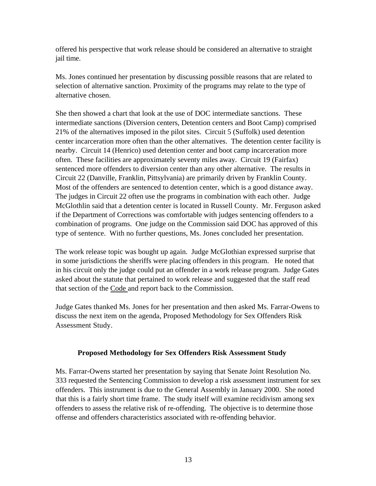offered his perspective that work release should be considered an alternative to straight jail time.

Ms. Jones continued her presentation by discussing possible reasons that are related to selection of alternative sanction. Proximity of the programs may relate to the type of alternative chosen.

She then showed a chart that look at the use of DOC intermediate sanctions. These intermediate sanctions (Diversion centers, Detention centers and Boot Camp) comprised 21% of the alternatives imposed in the pilot sites. Circuit 5 (Suffolk) used detention center incarceration more often than the other alternatives. The detention center facility is nearby. Circuit 14 (Henrico) used detention center and boot camp incarceration more often. These facilities are approximately seventy miles away. Circuit 19 (Fairfax) sentenced more offenders to diversion center than any other alternative. The results in Circuit 22 (Danville, Franklin, Pittsylvania) are primarily driven by Franklin County. Most of the offenders are sentenced to detention center, which is a good distance away. The judges in Circuit 22 often use the programs in combination with each other. Judge McGlothlin said that a detention center is located in Russell County. Mr. Ferguson asked if the Department of Corrections was comfortable with judges sentencing offenders to a combination of programs. One judge on the Commission said DOC has approved of this type of sentence. With no further questions, Ms. Jones concluded her presentation.

The work release topic was bought up again. Judge McGlothian expressed surprise that in some jurisdictions the sheriffs were placing offenders in this program. He noted that in his circuit only the judge could put an offender in a work release program. Judge Gates asked about the statute that pertained to work release and suggested that the staff read that section of the Code and report back to the Commission.

Judge Gates thanked Ms. Jones for her presentation and then asked Ms. Farrar-Owens to discuss the next item on the agenda, Proposed Methodology for Sex Offenders Risk Assessment Study.

## **Proposed Methodology for Sex Offenders Risk Assessment Study**

Ms. Farrar-Owens started her presentation by saying that Senate Joint Resolution No. 333 requested the Sentencing Commission to develop a risk assessment instrument for sex offenders. This instrument is due to the General Assembly in January 2000. She noted that this is a fairly short time frame. The study itself will examine recidivism among sex offenders to assess the relative risk of re-offending. The objective is to determine those offense and offenders characteristics associated with re-offending behavior.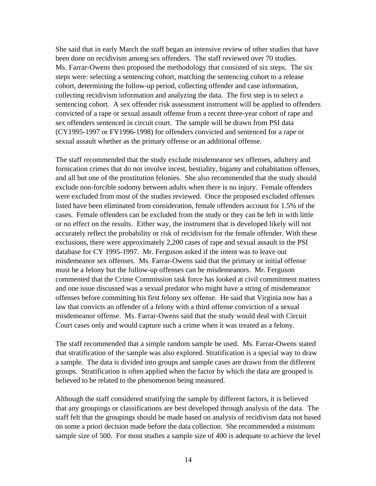She said that in early March the staff began an intensive review of other studies that have been done on recidivism among sex offenders. The staff reviewed over 70 studies. Ms. Farrar-Owens then proposed the methodology that consisted of six steps. The six steps were: selecting a sentencing cohort, matching the sentencing cohort to a release cohort, determining the follow-up period, collecting offender and case information, collecting recidivism information and analyzing the data. The first step is to select a sentencing cohort. A sex offender risk assessment instrument will be applied to offenders convicted of a rape or sexual assault offense from a recent three-year cohort of rape and sex offenders sentenced in circuit court. The sample will be drawn from PSI data (CY1995-1997 or FY1996-1998) for offenders convicted and sentenced for a rape or sexual assault whether as the primary offense or an additional offense.

The staff recommended that the study exclude misdemeanor sex offenses, adultery and fornication crimes that do not involve incest, bestiality, bigamy and cohabitation offenses, and all but one of the prostitution felonies. She also recommended that the study should exclude non-forcible sodomy between adults when there is no injury. Female offenders were excluded from most of the studies reviewed. Once the proposed excluded offenses listed have been eliminated from consideration, female offenders account for 1.5% of the cases. Female offenders can be excluded from the study or they can be left in with little or no effect on the results. Either way, the instrument that is developed likely will not accurately reflect the probability or risk of recidivism for the female offender. With these exclusions, there were approximately 2,200 cases of rape and sexual assault in the PSI database for CY 1995-1997. Mr. Ferguson asked if the intent was to leave out misdemeanor sex offenses. Ms. Farrar-Owens said that the primary or initial offense must be a felony but the follow-up offenses can be misdemeanors. Mr. Ferguson commented that the Crime Commission task force has looked at civil commitment matters and one issue discussed was a sexual predator who might have a string of misdemeanor offenses before committing his first felony sex offense. He said that Virginia now has a law that convicts an offender of a felony with a third offense conviction of a sexual misdemeanor offense. Ms. Farrar-Owens said that the study would deal with Circuit Court cases only and would capture such a crime when it was treated as a felony.

The staff recommended that a simple random sample be used. Ms. Farrar-Owens stated that stratification of the sample was also explored. Stratification is a special way to draw a sample. The data is divided into groups and sample cases are drawn from the different groups. Stratification is often applied when the factor by which the data are grouped is believed to be related to the phenomenon being measured.

Although the staff considered stratifying the sample by different factors, it is believed that any groupings or classifications are best developed through analysis of the data. The staff felt that the groupings should be made based on analysis of recidivism data not based on some a priori decision made before the data collection. She recommended a minimum sample size of 500. For most studies a sample size of 400 is adequate to achieve the level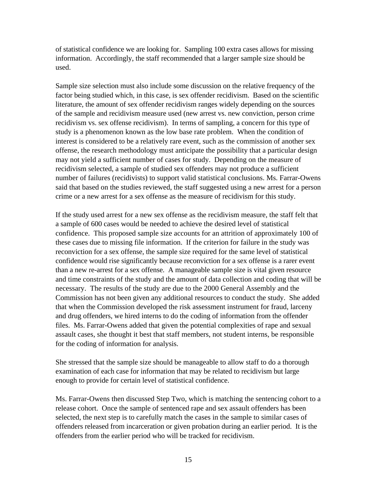of statistical confidence we are looking for. Sampling 100 extra cases allows for missing information. Accordingly, the staff recommended that a larger sample size should be used.

Sample size selection must also include some discussion on the relative frequency of the factor being studied which, in this case, is sex offender recidivism. Based on the scientific literature, the amount of sex offender recidivism ranges widely depending on the sources of the sample and recidivism measure used (new arrest vs. new conviction, person crime recidivism vs. sex offense recidivism). In terms of sampling, a concern for this type of study is a phenomenon known as the low base rate problem. When the condition of interest is considered to be a relatively rare event, such as the commission of another sex offense, the research methodology must anticipate the possibility that a particular design may not yield a sufficient number of cases for study. Depending on the measure of recidivism selected, a sample of studied sex offenders may not produce a sufficient number of failures (recidivists) to support valid statistical conclusions. Ms. Farrar-Owens said that based on the studies reviewed, the staff suggested using a new arrest for a person crime or a new arrest for a sex offense as the measure of recidivism for this study.

If the study used arrest for a new sex offense as the recidivism measure, the staff felt that a sample of 600 cases would be needed to achieve the desired level of statistical confidence. This proposed sample size accounts for an attrition of approximately 100 of these cases due to missing file information. If the criterion for failure in the study was reconviction for a sex offense, the sample size required for the same level of statistical confidence would rise significantly because reconviction for a sex offense is a rarer event than a new re-arrest for a sex offense. A manageable sample size is vital given resource and time constraints of the study and the amount of data collection and coding that will be necessary. The results of the study are due to the 2000 General Assembly and the Commission has not been given any additional resources to conduct the study. She added that when the Commission developed the risk assessment instrument for fraud, larceny and drug offenders, we hired interns to do the coding of information from the offender files. Ms. Farrar-Owens added that given the potential complexities of rape and sexual assault cases, she thought it best that staff members, not student interns, be responsible for the coding of information for analysis.

She stressed that the sample size should be manageable to allow staff to do a thorough examination of each case for information that may be related to recidivism but large enough to provide for certain level of statistical confidence.

Ms. Farrar-Owens then discussed Step Two, which is matching the sentencing cohort to a release cohort. Once the sample of sentenced rape and sex assault offenders has been selected, the next step is to carefully match the cases in the sample to similar cases of offenders released from incarceration or given probation during an earlier period. It is the offenders from the earlier period who will be tracked for recidivism.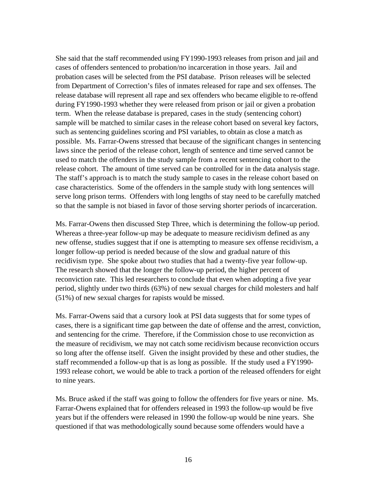She said that the staff recommended using FY1990-1993 releases from prison and jail and cases of offenders sentenced to probation/no incarceration in those years. Jail and probation cases will be selected from the PSI database. Prison releases will be selected from Department of Correction's files of inmates released for rape and sex offenses. The release database will represent all rape and sex offenders who became eligible to re-offend during FY1990-1993 whether they were released from prison or jail or given a probation term. When the release database is prepared, cases in the study (sentencing cohort) sample will be matched to similar cases in the release cohort based on several key factors, such as sentencing guidelines scoring and PSI variables, to obtain as close a match as possible. Ms. Farrar-Owens stressed that because of the significant changes in sentencing laws since the period of the release cohort, length of sentence and time served cannot be used to match the offenders in the study sample from a recent sentencing cohort to the release cohort. The amount of time served can be controlled for in the data analysis stage. The staff's approach is to match the study sample to cases in the release cohort based on case characteristics. Some of the offenders in the sample study with long sentences will serve long prison terms. Offenders with long lengths of stay need to be carefully matched so that the sample is not biased in favor of those serving shorter periods of incarceration.

Ms. Farrar-Owens then discussed Step Three, which is determining the follow-up period. Whereas a three-year follow-up may be adequate to measure recidivism defined as any new offense, studies suggest that if one is attempting to measure sex offense recidivism, a longer follow-up period is needed because of the slow and gradual nature of this recidivism type. She spoke about two studies that had a twenty-five year follow-up. The research showed that the longer the follow-up period, the higher percent of reconviction rate. This led researchers to conclude that even when adopting a five year period, slightly under two thirds (63%) of new sexual charges for child molesters and half (51%) of new sexual charges for rapists would be missed.

Ms. Farrar-Owens said that a cursory look at PSI data suggests that for some types of cases, there is a significant time gap between the date of offense and the arrest, conviction, and sentencing for the crime. Therefore, if the Commission chose to use reconviction as the measure of recidivism, we may not catch some recidivism because reconviction occurs so long after the offense itself. Given the insight provided by these and other studies, the staff recommended a follow-up that is as long as possible. If the study used a FY1990- 1993 release cohort, we would be able to track a portion of the released offenders for eight to nine years.

Ms. Bruce asked if the staff was going to follow the offenders for five years or nine. Ms. Farrar-Owens explained that for offenders released in 1993 the follow-up would be five years but if the offenders were released in 1990 the follow-up would be nine years. She questioned if that was methodologically sound because some offenders would have a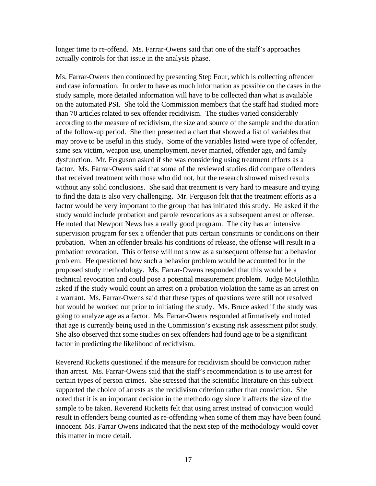longer time to re-offend. Ms. Farrar-Owens said that one of the staff's approaches actually controls for that issue in the analysis phase.

Ms. Farrar-Owens then continued by presenting Step Four, which is collecting offender and case information. In order to have as much information as possible on the cases in the study sample, more detailed information will have to be collected than what is available on the automated PSI. She told the Commission members that the staff had studied more than 70 articles related to sex offender recidivism. The studies varied considerably according to the measure of recidivism, the size and source of the sample and the duration of the follow-up period. She then presented a chart that showed a list of variables that may prove to be useful in this study. Some of the variables listed were type of offender, same sex victim, weapon use, unemployment, never married, offender age, and family dysfunction. Mr. Ferguson asked if she was considering using treatment efforts as a factor. Ms. Farrar-Owens said that some of the reviewed studies did compare offenders that received treatment with those who did not, but the research showed mixed results without any solid conclusions. She said that treatment is very hard to measure and trying to find the data is also very challenging. Mr. Ferguson felt that the treatment efforts as a factor would be very important to the group that has initiated this study. He asked if the study would include probation and parole revocations as a subsequent arrest or offense. He noted that Newport News has a really good program. The city has an intensive supervision program for sex a offender that puts certain constraints or conditions on their probation. When an offender breaks his conditions of release, the offense will result in a probation revocation. This offense will not show as a subsequent offense but a behavior problem. He questioned how such a behavior problem would be accounted for in the proposed study methodology. Ms. Farrar-Owens responded that this would be a technical revocation and could pose a potential measurement problem. Judge McGlothlin asked if the study would count an arrest on a probation violation the same as an arrest on a warrant. Ms. Farrar-Owens said that these types of questions were still not resolved but would be worked out prior to initiating the study. Ms. Bruce asked if the study was going to analyze age as a factor. Ms. Farrar-Owens responded affirmatively and noted that age is currently being used in the Commission's existing risk assessment pilot study. She also observed that some studies on sex offenders had found age to be a significant factor in predicting the likelihood of recidivism.

Reverend Ricketts questioned if the measure for recidivism should be conviction rather than arrest. Ms. Farrar-Owens said that the staff's recommendation is to use arrest for certain types of person crimes. She stressed that the scientific literature on this subject supported the choice of arrests as the recidivism criterion rather than conviction. She noted that it is an important decision in the methodology since it affects the size of the sample to be taken. Reverend Ricketts felt that using arrest instead of conviction would result in offenders being counted as re-offending when some of them may have been found innocent. Ms. Farrar Owens indicated that the next step of the methodology would cover this matter in more detail.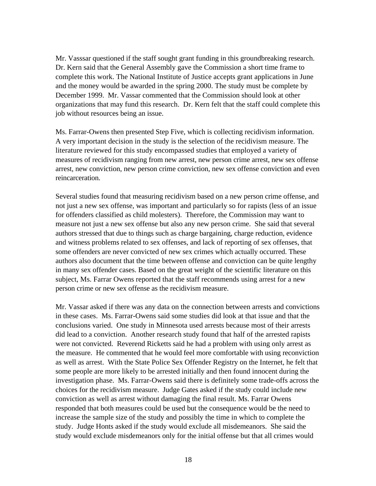Mr. Vasssar questioned if the staff sought grant funding in this groundbreaking research. Dr. Kern said that the General Assembly gave the Commission a short time frame to complete this work. The National Institute of Justice accepts grant applications in June and the money would be awarded in the spring 2000. The study must be complete by December 1999. Mr. Vassar commented that the Commission should look at other organizations that may fund this research. Dr. Kern felt that the staff could complete this job without resources being an issue.

Ms. Farrar-Owens then presented Step Five, which is collecting recidivism information. A very important decision in the study is the selection of the recidivism measure. The literature reviewed for this study encompassed studies that employed a variety of measures of recidivism ranging from new arrest, new person crime arrest, new sex offense arrest, new conviction, new person crime conviction, new sex offense conviction and even reincarceration.

Several studies found that measuring recidivism based on a new person crime offense, and not just a new sex offense, was important and particularly so for rapists (less of an issue for offenders classified as child molesters). Therefore, the Commission may want to measure not just a new sex offense but also any new person crime. She said that several authors stressed that due to things such as charge bargaining, charge reduction, evidence and witness problems related to sex offenses, and lack of reporting of sex offenses, that some offenders are never convicted of new sex crimes which actually occurred. These authors also document that the time between offense and conviction can be quite lengthy in many sex offender cases. Based on the great weight of the scientific literature on this subject, Ms. Farrar Owens reported that the staff recommends using arrest for a new person crime or new sex offense as the recidivism measure.

Mr. Vassar asked if there was any data on the connection between arrests and convictions in these cases. Ms. Farrar-Owens said some studies did look at that issue and that the conclusions varied. One study in Minnesota used arrests because most of their arrests did lead to a conviction. Another research study found that half of the arrested rapists were not convicted. Reverend Ricketts said he had a problem with using only arrest as the measure. He commented that he would feel more comfortable with using reconviction as well as arrest. With the State Police Sex Offender Registry on the Internet, he felt that some people are more likely to be arrested initially and then found innocent during the investigation phase. Ms. Farrar-Owens said there is definitely some trade-offs across the choices for the recidivism measure. Judge Gates asked if the study could include new conviction as well as arrest without damaging the final result. Ms. Farrar Owens responded that both measures could be used but the consequence would be the need to increase the sample size of the study and possibly the time in which to complete the study. Judge Honts asked if the study would exclude all misdemeanors. She said the study would exclude misdemeanors only for the initial offense but that all crimes would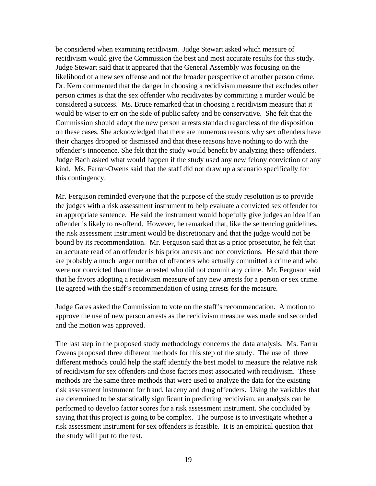be considered when examining recidivism. Judge Stewart asked which measure of recidivism would give the Commission the best and most accurate results for this study. Judge Stewart said that it appeared that the General Assembly was focusing on the likelihood of a new sex offense and not the broader perspective of another person crime. Dr. Kern commented that the danger in choosing a recidivism measure that excludes other person crimes is that the sex offender who recidivates by committing a murder would be considered a success. Ms. Bruce remarked that in choosing a recidivism measure that it would be wiser to err on the side of public safety and be conservative. She felt that the Commission should adopt the new person arrests standard regardless of the disposition on these cases. She acknowledged that there are numerous reasons why sex offenders have their charges dropped or dismissed and that these reasons have nothing to do with the offender's innocence. She felt that the study would benefit by analyzing these offenders. Judge Bach asked what would happen if the study used any new felony conviction of any kind. Ms. Farrar-Owens said that the staff did not draw up a scenario specifically for this contingency.

Mr. Ferguson reminded everyone that the purpose of the study resolution is to provide the judges with a risk assessment instrument to help evaluate a convicted sex offender for an appropriate sentence. He said the instrument would hopefully give judges an idea if an offender is likely to re-offend. However, he remarked that, like the sentencing guidelines, the risk assessment instrument would be discretionary and that the judge would not be bound by its recommendation. Mr. Ferguson said that as a prior prosecutor, he felt that an accurate read of an offender is his prior arrests and not convictions. He said that there are probably a much larger number of offenders who actually committed a crime and who were not convicted than those arrested who did not commit any crime. Mr. Ferguson said that he favors adopting a recidivism measure of any new arrests for a person or sex crime. He agreed with the staff's recommendation of using arrests for the measure.

Judge Gates asked the Commission to vote on the staff's recommendation. A motion to approve the use of new person arrests as the recidivism measure was made and seconded and the motion was approved.

The last step in the proposed study methodology concerns the data analysis. Ms. Farrar Owens proposed three different methods for this step of the study. The use of three different methods could help the staff identify the best model to measure the relative risk of recidivism for sex offenders and those factors most associated with recidivism. These methods are the same three methods that were used to analyze the data for the existing risk assessment instrument for fraud, larceny and drug offenders. Using the variables that are determined to be statistically significant in predicting recidivism, an analysis can be performed to develop factor scores for a risk assessment instrument. She concluded by saying that this project is going to be complex. The purpose is to investigate whether a risk assessment instrument for sex offenders is feasible. It is an empirical question that the study will put to the test.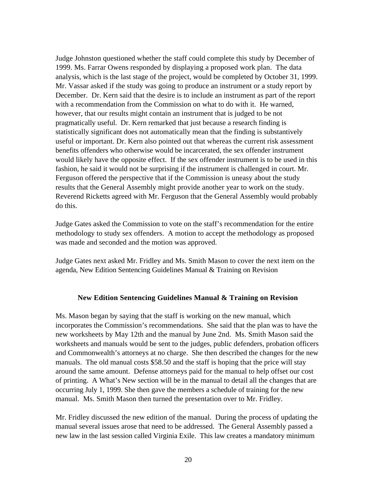Judge Johnston questioned whether the staff could complete this study by December of 1999. Ms. Farrar Owens responded by displaying a proposed work plan. The data analysis, which is the last stage of the project, would be completed by October 31, 1999. Mr. Vassar asked if the study was going to produce an instrument or a study report by December. Dr. Kern said that the desire is to include an instrument as part of the report with a recommendation from the Commission on what to do with it. He warned, however, that our results might contain an instrument that is judged to be not pragmatically useful. Dr. Kern remarked that just because a research finding is statistically significant does not automatically mean that the finding is substantively useful or important. Dr. Kern also pointed out that whereas the current risk assessment benefits offenders who otherwise would be incarcerated, the sex offender instrument would likely have the opposite effect. If the sex offender instrument is to be used in this fashion, he said it would not be surprising if the instrument is challenged in court. Mr. Ferguson offered the perspective that if the Commission is uneasy about the study results that the General Assembly might provide another year to work on the study. Reverend Ricketts agreed with Mr. Ferguson that the General Assembly would probably do this.

Judge Gates asked the Commission to vote on the staff's recommendation for the entire methodology to study sex offenders. A motion to accept the methodology as proposed was made and seconded and the motion was approved.

Judge Gates next asked Mr. Fridley and Ms. Smith Mason to cover the next item on the agenda, New Edition Sentencing Guidelines Manual & Training on Revision

#### **New Edition Sentencing Guidelines Manual & Training on Revision**

Ms. Mason began by saying that the staff is working on the new manual, which incorporates the Commission's recommendations. She said that the plan was to have the new worksheets by May 12th and the manual by June 2nd. Ms. Smith Mason said the worksheets and manuals would be sent to the judges, public defenders, probation officers and Commonwealth's attorneys at no charge. She then described the changes for the new manuals. The old manual costs \$58.50 and the staff is hoping that the price will stay around the same amount. Defense attorneys paid for the manual to help offset our cost of printing. A What's New section will be in the manual to detail all the changes that are occurring July 1, 1999. She then gave the members a schedule of training for the new manual. Ms. Smith Mason then turned the presentation over to Mr. Fridley.

Mr. Fridley discussed the new edition of the manual. During the process of updating the manual several issues arose that need to be addressed. The General Assembly passed a new law in the last session called Virginia Exile. This law creates a mandatory minimum